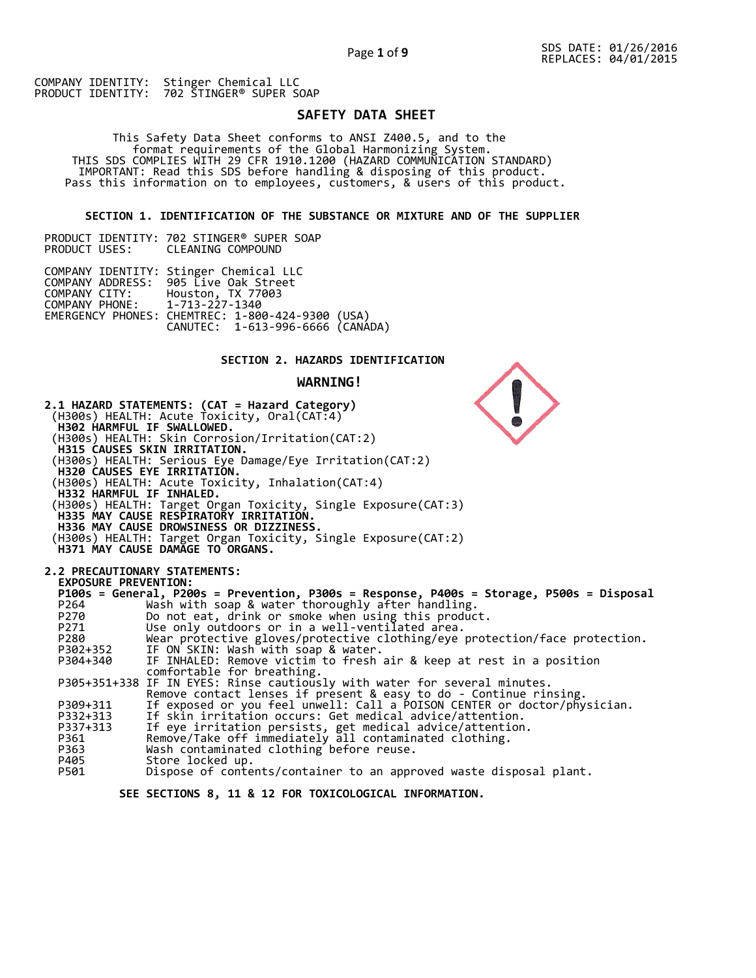COMPANY IDENTITY: Stinger Chemical LLC<br>PRODUCT IDENTITY: 702 STINGER® SUPER S 702 STINGER® SUPER SOAP

PRODUCT IDENTITY: 702 STINGER® SUPER SOAP

# **SAFETY DATA SHEET**

 This Safety Data Sheet conforms to ANSI Z400.5, and to the format requirements of the Global Harmonizing System. THIS SDS COMPLIES WITH 29 CFR 1910.1200 (HAZARD COMMUNICATION STANDARD) IMPORTANT: Read this SDS before handling & disposing of this product. Pass this information on to employees, customers, & users of this product.

**SECTION 1. IDENTIFICATION OF THE SUBSTANCE OR MIXTURE AND OF THE SUPPLIER** 

|                               | INUDUCI IDLINIIII. 702 JIINULIN JUILIN JUMI<br>PRODUCT USES: CLEANING COMPOUND                                                                                                                            |  |
|-------------------------------|-----------------------------------------------------------------------------------------------------------------------------------------------------------------------------------------------------------|--|
| COMPANY PHONE: 1-713-227-1340 | COMPANY IDENTITY: Stinger Chemical LLC<br>COMPANY ADDRESS: 905 Live Oak Street<br>COMPANY CITY: Houston, TX 77003<br>EMERGENCY PHONES: CHEMTREC: 1-800-424-9300 (USA)<br>CANUTEC: 1-613-996-6666 (CANÁDA) |  |

# **SECTION 2. HAZARDS IDENTIFICATION**

#### **WARNING!**



 **SEE SECTIONS 8, 11 & 12 FOR TOXICOLOGICAL INFORMATION.**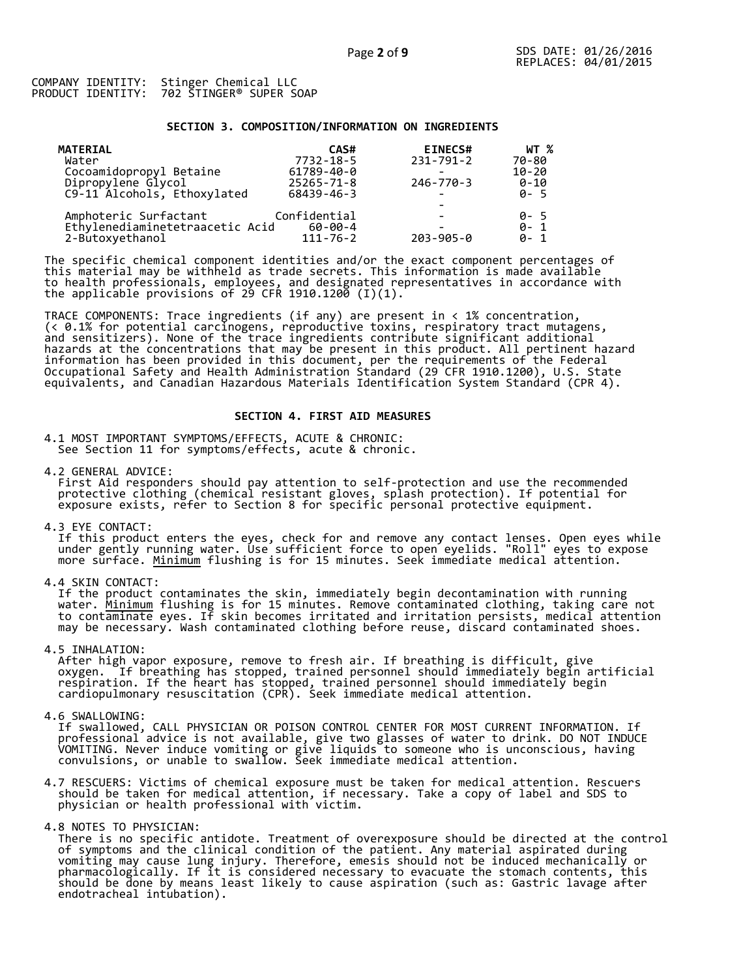#### **SECTION 3. COMPOSITION/INFORMATION ON INGREDIENTS**

| <b>MATERIAL</b>                 | CAS#             | <b>EINECS#</b>           | WT %      |
|---------------------------------|------------------|--------------------------|-----------|
| Water                           | 7732-18-5        | $231 - 791 - 2$          | 70-80     |
| Cocoamidopropyl Betaine         | 61789-40-0       |                          | $10 - 20$ |
| Dipropylene Glycol              | $25265 - 71 - 8$ | $246 - 770 - 3$          | $0 - 10$  |
| C9-11 Alcohols, Ethoxylated     | 68439-46-3       | $\sim$                   | $0 - 5$   |
|                                 |                  |                          |           |
| Amphoteric Surfactant           | Confidential     | $\overline{\phantom{0}}$ | 0-5       |
| Ethylenediaminetetraacetic Acid | $60 - 00 - 4$    |                          | $0 - 1$   |
| 2-Butoxyethanol                 | $111 - 76 - 2$   | $203 - 905 - 0$          | $0 - 1$   |

The specific chemical component identities and/or the exact component percentages of this material may be withheld as trade secrets. This information is made available to health professionals, employees, and designated representatives in accordance with the applicable provisions of 29 CFR 1910.1200̄ (I)(1).  $\overline{\phantom{a}}$ 

TRACE COMPONENTS: Trace ingredients (if any) are present in < 1% concentration, (< 0.1% for potential carcinogens, reproductive toxins, respiratory tract mutagens, and sensitizers). None of the trace ingredients contribute significant additional hazards at the concentrations that may be present in this product. All pertinent hazard information has been provided in this document, per the requirements of the Federal Occupational Safety and Health Administration Standard (29 CFR 1910.1200), U.S. State equivalents, and Canadian Hazardous Materials Identification System Standard (CPR 4).

# **SECTION 4. FIRST AID MEASURES**

4.1 MOST IMPORTANT SYMPTOMS/EFFECTS, ACUTE & CHRONIC: See Section 11 for symptoms/effects, acute & chronic.

4.2 GENERAL ADVICE: First Aid responders should pay attention to self-protection and use the recommended protective clothing (chemical resistant gloves, splash protection). If potential for exposure exists, refer to Section 8 for specific personal protective equipment.

4.3 EYE CONTACT:

 If this product enters the eyes, check for and remove any contact lenses. Open eyes while under gently running water. Use sufficient force to open eyelids. "Roll" eyes to expose more surface. <u>Minimum</u> flushing is for 15 minutes. Seek immediate medical attention.

4.4 SKIN CONTACT:

 If the product contaminates the skin, immediately begin decontamination with running water. <u>Minimum</u> flushing is for 15 minutes. Remove contaminated clothing, taking care not to contaminate eyes. If skin becomes irritated and irritation persists, medical attention may be necessary. Wash contaminated clothing before reuse, discard contaminated shoes.

4.5 INHALATION:

 After high vapor exposure, remove to fresh air. If breathing is difficult, give oxygen. If breathing has stopped, trained personnel should immediately begin artificial respiration. If the heart has stopped, trained personnel should immediately begin cardiopulmonary resuscitation (CPR). Seek immediate medical attention.

4.6 SWALLOWING:

 If swallowed, CALL PHYSICIAN OR POISON CONTROL CENTER FOR MOST CURRENT INFORMATION. If professional advice is not available, give two glasses of water to drink. DO NOT INDUCE VOMITING. Never induce vomiting or give liquids to someone who is unconscious, having convulsions, or unable to swallow. Seek immediate medical attention.

4.7 RESCUERS: Victims of chemical exposure must be taken for medical attention. Rescuers should be taken for medical attention, if necessary. Take a copy of label and SDS to physician or health professional with victim.

4.8 NOTES TO PHYSICIAN:

 There is no specific antidote. Treatment of overexposure should be directed at the control of symptoms and the clinical condition of the patient. Any material aspirated during vomiting may cause lung injury. Therefore, emesis should not be induced mechanically or pharmacologically. If it is considered necessary to evacuate the stomach contents, this should be done by means least likely to cause aspiration (such as: Gastric lavage after endotracheal intubation).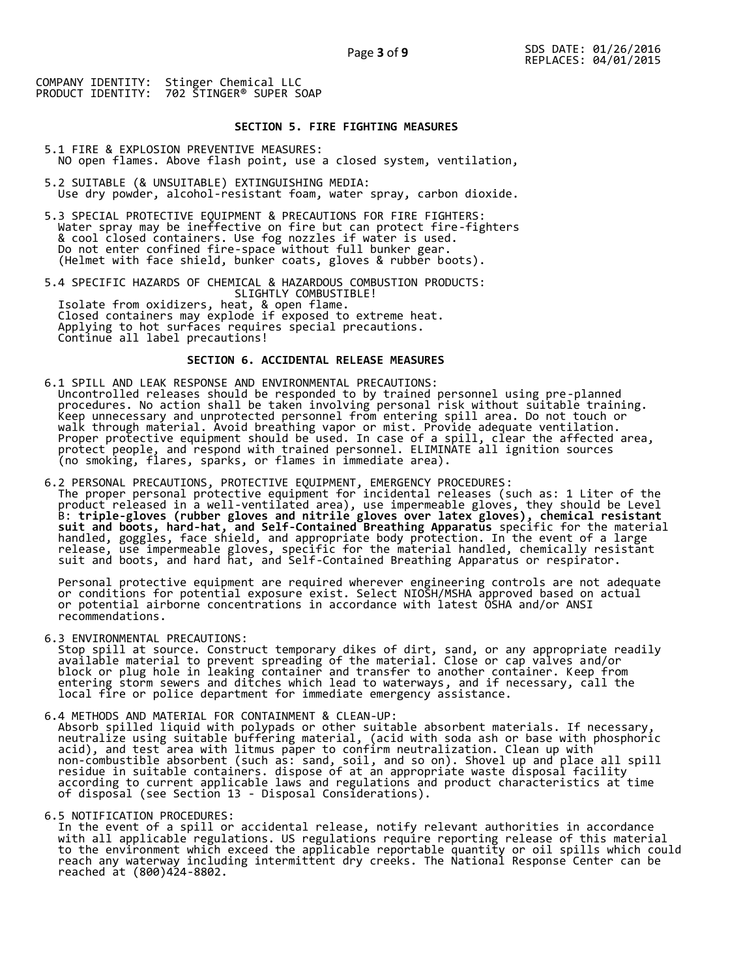# **SECTION 5. FIRE FIGHTING MEASURES**

5.1 FIRE & EXPLOSION PREVENTIVE MEASURES: NO open flames. Above flash point, use a closed system, ventilation,

- 5.2 SUITABLE (& UNSUITABLE) EXTINGUISHING MEDIA: Use dry powder, alcohol-resistant foam, water spray, carbon dioxide.
- 5.3 SPECIAL PROTECTIVE EQUIPMENT & PRECAUTIONS FOR FIRE FIGHTERS: Water spray may be ineffective on fire but can protect fire-fighters & cool closed containers. Use fog nozzles if water is used. Do not enter confined fire-space without full bunker gear. (Helmet with face shield, bunker coats, gloves & rubber boots).

5.4 SPECIFIC HAZARDS OF CHEMICAL & HAZARDOUS COMBUSTION PRODUCTS: SLIGHTLY COMBUSTIBLE! Isolate from oxidizers, heat, & open flame. Closed containers may explode if exposed to extreme heat. Applying to hot surfaces requires special precautions. Continue all label precautions!

# **SECTION 6. ACCIDENTAL RELEASE MEASURES**

- 6.1 SPILL AND LEAK RESPONSE AND ENVIRONMENTAL PRECAUTIONS: Uncontrolled releases should be responded to by trained personnel using pre-planned procedures. No action shall be taken involving personal risk without suitable training. Keep unnecessary and unprotected personnel from entering spill area. Do not touch or walk through material. Avoid breathing vapor or mist. Provide adequate ventilation. Proper protective equipment should be used. In case of a spill, clear the affected area, protect people, and respond with trained personnel. ELIMINATE all ignition sources (no smoking, flares, sparks, or flames in immediate area).
- 6.2 PERSONAL PRECAUTIONS, PROTECTIVE EQUIPMENT, EMERGENCY PROCEDURES: The proper personal protective equipment for incidental releases (such as: 1 Liter of the product released in a well-ventilated area), use impermeable gloves, they should be Level B: **triple-gloves (rubber gloves and nitrile gloves over latex gloves), chemical resistant suit and boots, hard-hat, and Self-Contained Breathing Apparatus** specific for the material handled, goggles, face shield, and appropriate body protection. In the event of a large release, use impermeable gloves, specific for the material handled, chemically resistant suit and boots, and hard hat, and Self-Contained Breathing Apparatus or respirator.

 Personal protective equipment are required wherever engineering controls are not adequate or conditions for potential exposure exist. Select NIOSH/MSHA approved based on actual or potential airborne concentrations in accordance with latest OSHA and/or ANSI recommendations.

6.3 ENVIRONMENTAL PRECAUTIONS:

 Stop spill at source. Construct temporary dikes of dirt, sand, or any appropriate readily available material to prevent spreading of the material. Close or cap valves and/or block or plug hole in leaking container and transfer to another container. Keep from entering storm sewers and ditches which lead to waterways, and if necessary, call the local fire or police department for immediate emergency assistance.

6.4 METHODS AND MATERIAL FOR CONTAINMENT & CLEAN-UP: Absorb spilled liquid with polypads or other suitable absorbent materials. If necessary, neutralize using suitable buffering material, (acid with soda ash or base with phosphoric acid), and test area with litmus paper to confirm neutralization. Clean up with non-combustible absorbent (such as: sand, soil, and so on). Shovel up and place all spill residue in suitable containers. dispose of at an appropriate waste disposal facility according to current applicable laws and regulations and product characteristics at time of disposal (see Section 13 - Disposal Considerations).

6.5 NOTIFICATION PROCEDURES:

 In the event of a spill or accidental release, notify relevant authorities in accordance with all applicable regulations. US regulations require reporting release of this material to the environment which exceed the applicable reportable quantity or oil spills which could reach any waterway including intermittent dry creeks. The National Response Center can be reached at (800)424-8802.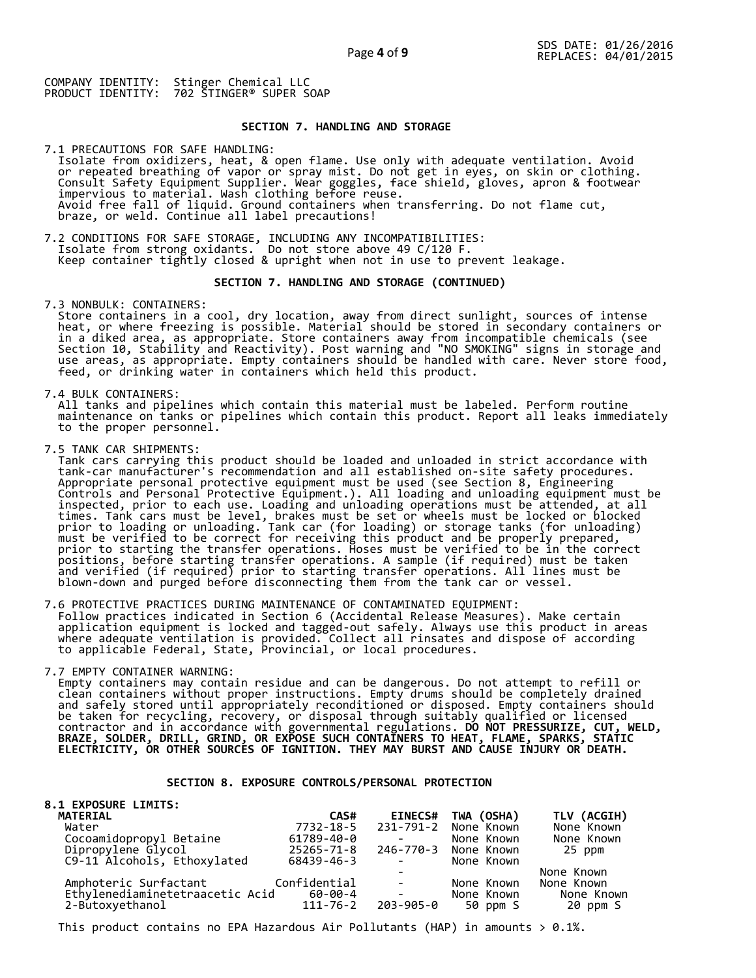Page **4** of **9**

COMPANY IDENTITY: Stinger Chemical LLC PRODUCT IDENTITY: 702 STINGER® SUPER SOAP

# **SECTION 7. HANDLING AND STORAGE**

7.1 PRECAUTIONS FOR SAFE HANDLING: Isolate from oxidizers, heat, & open flame. Use only with adequate ventilation. Avoid or repeated breathing of vapor or spray mist. Do not get in eyes, on skin or clothing. Consult Safety Equipment Supplier. Wear goggles, face shield, gloves, apron & footwear impervious to material. Wash clothing before reuse. Avoid free fall of liquid. Ground containers when transferring. Do not flame cut, braze, or weld. Continue all label precautions!

7.2 CONDITIONS FOR SAFE STORAGE, INCLUDING ANY INCOMPATIBILITIES: Isolate from strong oxidants. Do not store above 49 C/120 F. Keep container tightly closed & upright when not in use to prevent leakage.

#### **SECTION 7. HANDLING AND STORAGE (CONTINUED)**

7.3 NONBULK: CONTAINERS:

 Store containers in a cool, dry location, away from direct sunlight, sources of intense heat, or where freezing is possible. Material should be stored in secondary containers or in a diked area, as appropriate. Store containers away from incompatible chemicals (see Section 10, Stability and Reactivity). Post warning and "NO SMOKING" signs in storage and use areas, as appropriate. Empty containers should be handled with care. Never store food, feed, or drinking water in containers which held this product.

7.4 BULK CONTAINERS:

 All tanks and pipelines which contain this material must be labeled. Perform routine maintenance on tanks or pipelines which contain this product. Report all leaks immediately to the proper personnel.

7.5 TANK CAR SHIPMENTS:

Tank cars carrying this product should be loaded and unloaded in strict accordance with<br>tank-car manufacturer's recommendation and all established on-site safety procedures. tank-car manufacturer's recommendation and all established on-site safety procedures. Appropriate personal protective equipment must be used (see Section 8, Engineering Controls and Personal Protective Equipment.). All loading and unloading equipment must be inspected, prior to each use. Loading and unloading operations must be attended, at all times. Tank cars must be level, brakes must be set or wheels must be locked or blocked prior to loading or unloading. Tank car (for loading) or storage tanks (for unloading) must be verified to be correct for receiving this product and be properly prepared, prior to starting the transfer operations. Hoses must be verified to be in the correct positions, before starting transfer operations. A sample (if required) must be taken and verified (if required) prior to starting transfer operations. All lines must be blown-down and purged before disconnecting them from the tank car or vessel.

7.6 PROTECTIVE PRACTICES DURING MAINTENANCE OF CONTAMINATED EQUIPMENT: Follow practices indicated in Section 6 (Accidental Release Measures). Make certain application equipment is locked and tagged-out safely. Always use this product in areas where adequate ventilation is provided. Collect all rinsates and dispose of according to applicable Federal, State, Provincial, or local procedures.

7.7 EMPTY CONTAINER WARNING:

 Empty containers may contain residue and can be dangerous. Do not attempt to refill or clean containers without proper instructions. Empty drums should be completely drained and safely stored until appropriately reconditioned or disposed. Empty containers should be taken for recycling, recovery, or disposal through suitably qualified or licensed contractor and in accordance with governmental regulations. **DO NOT PRESSURIZE, CUT, WELD, BRAZE, SOLDER, DRILL, GRIND, OR EXPOSE SUCH CONTAINERS TO HEAT, FLAME, SPARKS, STATIC ELECTRICITY, OR OTHER SOURCES OF IGNITION. THEY MAY BURST AND CAUSE INJURY OR DEATH.**

# **SECTION 8. EXPOSURE CONTROLS/PERSONAL PROTECTION**

| <b>8.1 EXPOSURE LIMITS:</b><br><b>MATERIAL</b>                               | CAS#           | <b>EINECS#</b>                                                                      | TWA (OSHA)           | TLV (ACGIH) |
|------------------------------------------------------------------------------|----------------|-------------------------------------------------------------------------------------|----------------------|-------------|
| Water                                                                        | 7732-18-5      |                                                                                     | 231-791-2 None Known | None Known  |
| Cocoamidopropyl Betaine<br>Dipropylene Glycol<br>C9-11 Alcohols, Ethoxylated | 61789-40-0     |                                                                                     | None Known           | None Known  |
|                                                                              | 25265-71-8     |                                                                                     | 246-770-3 None Known | 25 ppm      |
|                                                                              | 68439-46-3     | <b>Contract Contract</b>                                                            | None Known           |             |
|                                                                              |                |                                                                                     |                      | None Known  |
| Amphoteric Surfactant                                                        | Confidential   | $\sim$                                                                              | None Known           | None Known  |
| Ethylenediaminetetraacetic Acid                                              | 60-00-4        | $\mathcal{L}^{\text{max}}_{\text{max}}$ and $\mathcal{L}^{\text{max}}_{\text{max}}$ | None Known           | None Known  |
| 2-Butoxyethanol                                                              | $111 - 76 - 2$ | 203-905-0                                                                           | 50 ppm S             | 20 ppm S    |

This product contains no EPA Hazardous Air Pollutants (HAP) in amounts  $> 0.1\%$ .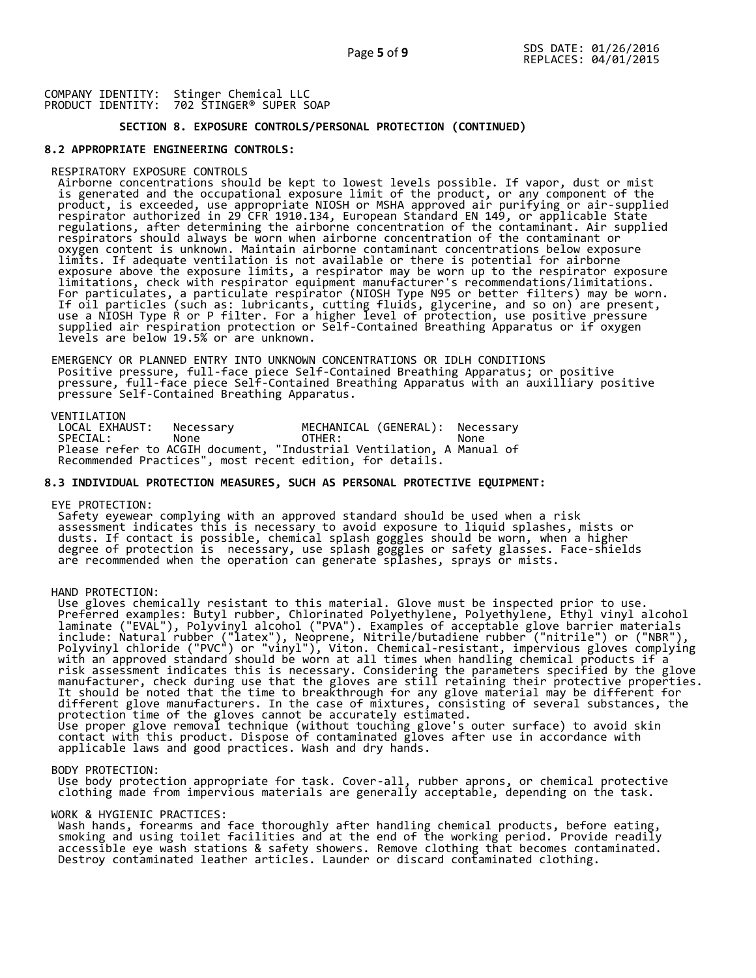# **SECTION 8. EXPOSURE CONTROLS/PERSONAL PROTECTION (CONTINUED)**

# **8.2 APPROPRIATE ENGINEERING CONTROLS:**

# RESPIRATORY EXPOSURE CONTROLS

 Airborne concentrations should be kept to lowest levels possible. If vapor, dust or mist is generated and the occupational exposure limit of the product, or any component of the product, is exceeded, use appropriate NIOSH or MSHA approved air purifying or air-supplied respirator authorized in 29 CFR 1910.134, European Standard EN 149, or applicable State regulations, after determining the airborne concentration of the contaminant. Air supplied respirators should always be worn when airborne concentration of the contaminant or oxygen content is unknown. Maintain airborne contaminant concentrations below exposure limits. If adequate ventilation is not available or there is potential for airborne exposure above the exposure limits, a respirator may be worn up to the respirator exposure limitations, check with respirator equipment manufacturer's recommendations/limitations. For particulates, a particulate respirator (NIOSH Type N95 or better filters) may be worn. If oil particles (such as: lubricants, cutting fluids, glycerine, and so on) are present, use a NIOSH Type R or P filter. For a higher level of protection, use positive pressure supplied air respiration protection or Self-Contained Breathing Apparatus or if oxygen levels are below 19.5% or are unknown.

 EMERGENCY OR PLANNED ENTRY INTO UNKNOWN CONCENTRATIONS OR IDLH CONDITIONS Positive pressure, full-face piece Self-Contained Breathing Apparatus; or positive pressure, full-face piece Self-Contained Breathing Apparatus with an auxilliary positive pressure Self-Contained Breathing Apparatus.

VENTILATION<br>LOCAL EXHAUST: LOCAL EXHAUST: Necessary MECHANICAL (GENERAL): Necessary SPECIAL: None OTHER: None Please refer to ACGIH document, "Industrial Ventilation, A Manual of Recommended Practices", most recent edition, for details.

# **8.3 INDIVIDUAL PROTECTION MEASURES, SUCH AS PERSONAL PROTECTIVE EQUIPMENT:**

#### EYE PROTECTION:

 Safety eyewear complying with an approved standard should be used when a risk assessment indicates this is necessary to avoid exposure to liquid splashes, mists or dusts. If contact is possible, chemical splash goggles should be worn, when a higher degree of protection is necessary, use splash goggles or safety glasses. Face-shields are recommended when the operation can generate splashes, sprays or mists.

# HAND PROTECTION:

 Use gloves chemically resistant to this material. Glove must be inspected prior to use. Preferred examples: Butyl rubber, Chlorinated Polyethylene, Polyethylene, Ethyl vinyl alcohol laminate ("EVAL"), Polyvinyl alcohol ("PVA"). Examples of acceptable glove barrier materials include: Natural rubber ("latex"), Neoprene, Nitrile/butadiene rubber ("nitrile") or ("NBR"), Polyvinyl chloride ("PVC") or "vinyl"), Viton. Chemical-resistant, impervious gloves complying with an approved standard should be worn at all times when handling chemical products if a risk assessment indicates this is necessary. Considering the parameters specified by the glove manufacturer, check during use that the gloves are still retaining their protective properties. It should be noted that the time to breakthrough for any glove material may be different for different glove manufacturers. In the case of mixtures, consisting of several substances, the protection time of the gloves cannot be accurately estimated. Use proper glove removal technique (without touching glove's outer surface) to avoid skin contact with this product. Dispose of contaminated gloves after use in accordance with applicable laws and good practices. Wash and dry hands.

#### BODY PROTECTION:

 Use body protection appropriate for task. Cover-all, rubber aprons, or chemical protective clothing made from impervious materials are generally acceptable, depending on the task.

#### WORK & HYGIENIC PRACTICES:

 Wash hands, forearms and face thoroughly after handling chemical products, before eating, smoking and using toilet facilities and at the end of the working period. Provide readily accessible eye wash stations & safety showers. Remove clothing that becomes contaminated. Destroy contaminated leather articles. Launder or discard contaminated clothing.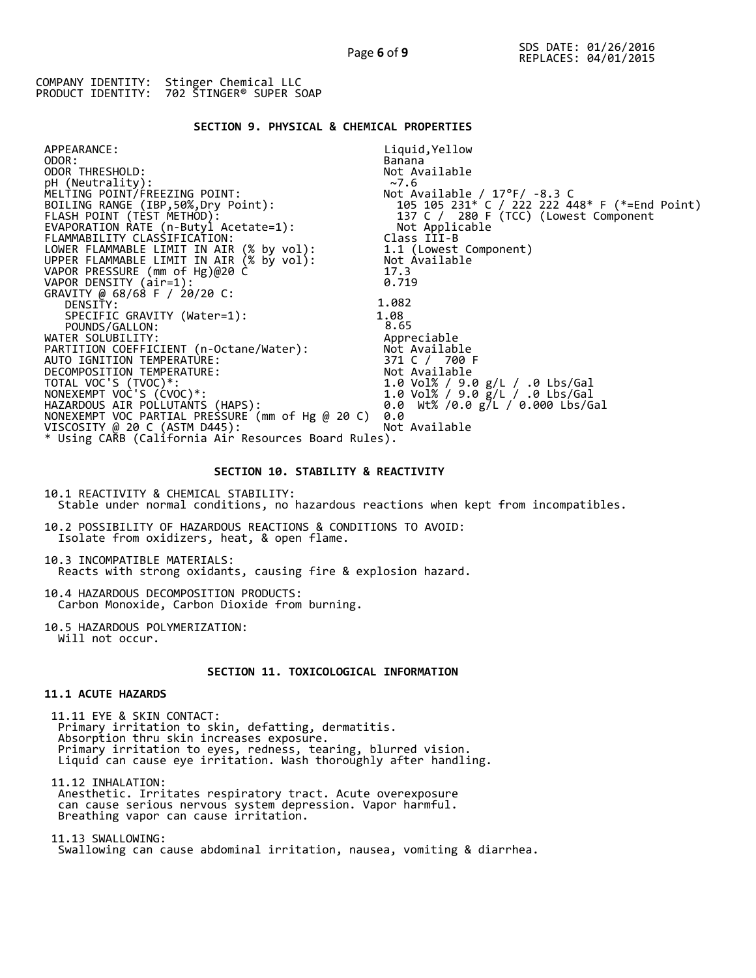# **SECTION 9. PHYSICAL & CHEMICAL PROPERTIES**

| APPEARANCE:                                          | Liquid, Yellow                                |
|------------------------------------------------------|-----------------------------------------------|
| ODOR:                                                | Banana                                        |
| ODOR THRESHOLD:                                      | Not Available                                 |
| pH (Neutrality):                                     | ~27.6                                         |
| MELTING POINT/FREEZING POINT:                        | Not Available / $17^{\circ}$ F/ -8.3 C        |
| BOILING RANGE (IBP,50%,Dry Point):                   | 105 105 231* C / 222 222 448* F (*=End Point) |
| FLASH POINT (TEST METHOD):                           | 137 C / 280 F (TCC) (Lowest Component         |
| EVAPORATION RATE (n-Butyl Acetate=1):                | Not Applicable                                |
| FLAMMABILITY CLASSIFICATION:                         | Class III-B                                   |
| LOWER FLAMMABLE LIMIT IN AIR (% by vol):             | 1.1 (Lowest Component)                        |
| UPPER FLAMMABLE LIMIT IN AIR (% by vol):             | Not Available                                 |
| VAPOR PRESSURE (mm of Hg)@20 C                       | 17.3                                          |
| VAPOR DENSITY (air=1):                               | 0.719                                         |
| GRAVITY @ 68/68 F / 20/20 C:                         |                                               |
| DENSITY:                                             | 1.082                                         |
| SPECIFIC GRAVITY (Water=1):                          | 1.08                                          |
| POUNDS/GALLON:                                       | 8.65                                          |
| WATER SOLUBILITY:                                    | Appreciable                                   |
| PARTITION COEFFICIENT (n-Octane/Water):              | Not Available                                 |
| AUTO IGNITION TEMPERATURE:                           | 371 C / 700 F                                 |
| DECOMPOSITION TEMPERATURE:                           | Not Available                                 |
| TOTAL VOC'S (TVOC)*:                                 | 1.0 Vol% / 9.0 g/L / .0 Lbs/Gal               |
| NONEXEMPT VOC'S (CVOC)*:                             | 1.0 Vol% / 9.0 g/L / .0 Lbs/Gal               |
| HAZARDOUS AIR POLLUTAŃTS (HAPS):                     | 0.0 Wt% /0.0 g/L / 0.000 Lbs/Gal              |
| NONEXEMPT VOC PARTIAL PRESSURE (mm of Hg @ 20 C)     | 0.0                                           |
| VISCOSITY @ 20 C (ASTM D445):                        | Not Available                                 |
| * Using CARB (California Air Resources Board Rules). |                                               |

# **SECTION 10. STABILITY & REACTIVITY**

10.1 REACTIVITY & CHEMICAL STABILITY: Stable under normal conditions, no hazardous reactions when kept from incompatibles.

10.2 POSSIBILITY OF HAZARDOUS REACTIONS & CONDITIONS TO AVOID: Isolate from oxidizers, heat, & open flame.

10.3 INCOMPATIBLE MATERIALS: Reacts with strong oxidants, causing fire & explosion hazard.

10.4 HAZARDOUS DECOMPOSITION PRODUCTS: Carbon Monoxide, Carbon Dioxide from burning.

10.5 HAZARDOUS POLYMERIZATION: Will not occur.

# **SECTION 11. TOXICOLOGICAL INFORMATION**

# **11.1 ACUTE HAZARDS**

 11.11 EYE & SKIN CONTACT: Primary irritation to skin, defatting, dermatitis. Absorption thru skin increases exposure. Primary irritation to eyes, redness, tearing, blurred vision. Liquid can cause eye irritation. Wash thoroughly after handling.

 11.12 INHALATION: Anesthetic. Irritates respiratory tract. Acute overexposure can cause serious nervous system depression. Vapor harmful. Breathing vapor can cause irritation.

 11.13 SWALLOWING: Swallowing can cause abdominal irritation, nausea, vomiting & diarrhea.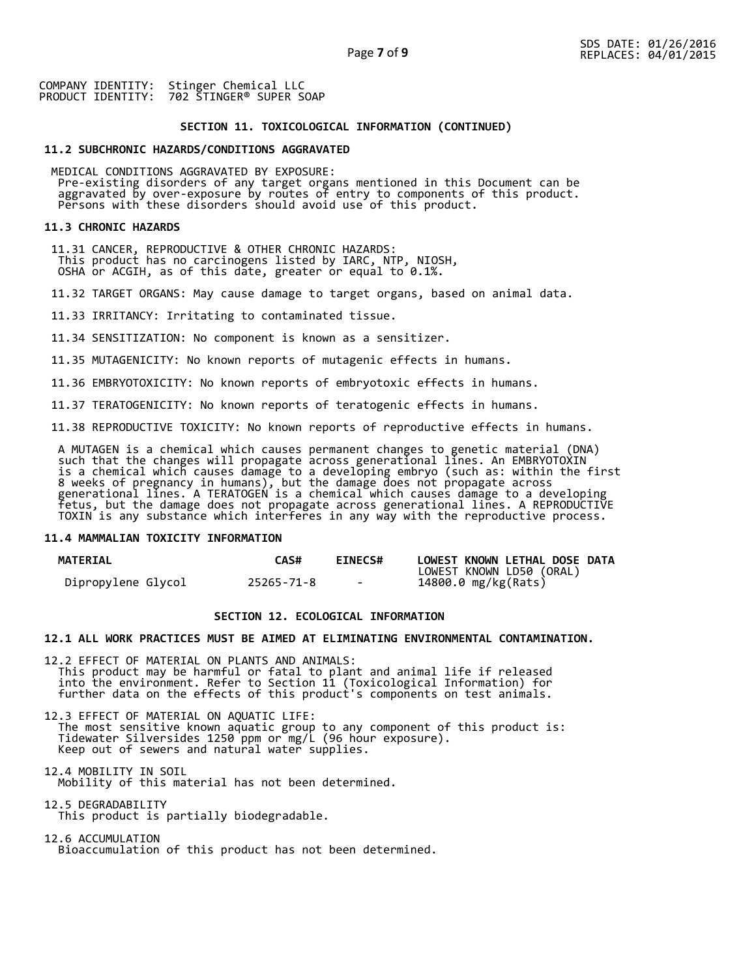## **SECTION 11. TOXICOLOGICAL INFORMATION (CONTINUED)**

# **11.2 SUBCHRONIC HAZARDS/CONDITIONS AGGRAVATED**

 MEDICAL CONDITIONS AGGRAVATED BY EXPOSURE: Pre-existing disorders of any target organs mentioned in this Document can be aggravated by over-exposure by routes of entry to components of this product. Persons with these disorders should avoid use of this product.

#### **11.3 CHRONIC HAZARDS**

 11.31 CANCER, REPRODUCTIVE & OTHER CHRONIC HAZARDS: This product has no carcinogens listed by IARC, NTP, NIOSH, OSHA or ACGIH, as of this date, greater or equal to 0.1%.

11.32 TARGET ORGANS: May cause damage to target organs, based on animal data.

11.33 IRRITANCY: Irritating to contaminated tissue.

11.34 SENSITIZATION: No component is known as a sensitizer.

11.35 MUTAGENICITY: No known reports of mutagenic effects in humans.

11.36 EMBRYOTOXICITY: No known reports of embryotoxic effects in humans.

11.37 TERATOGENICITY: No known reports of teratogenic effects in humans.

11.38 REPRODUCTIVE TOXICITY: No known reports of reproductive effects in humans.

 A MUTAGEN is a chemical which causes permanent changes to genetic material (DNA) such that the changes will propagate across generational lines. An EMBRYOTOXIN is a chemical which causes damage to a developing embryo (such as: within the first 8 weeks of pregnancy in humans), but the damage does not propagate across generational lines. A TERATOGEN is a chemical which causes damage to a developing fetus, but the damage does not propagate across generational lines. A REPRODUCTIVE TOXIN is any substance which interferes in any way with the reproductive process.

#### **11.4 MAMMALIAN TOXICITY INFORMATION**

| <b>MATERIAL</b>    | <b>CAS#</b> | <b>EINECS#</b> | LOWEST KNOWN LETHAL DOSE DATA |
|--------------------|-------------|----------------|-------------------------------|
|                    |             |                | LOWEST KNOWN LD50 (ORAL)      |
| Dipropylene Glycol | 25265-71-8  | $\sim$         | 14800.0 mg/kg(Rats)           |

# **SECTION 12. ECOLOGICAL INFORMATION**

#### **12.1 ALL WORK PRACTICES MUST BE AIMED AT ELIMINATING ENVIRONMENTAL CONTAMINATION.**

12.2 EFFECT OF MATERIAL ON PLANTS AND ANIMALS: This product may be harmful or fatal to plant and animal life if released into the environment. Refer to Section 11 (Toxicological Information) for further data on the effects of this product's components on test animals.

12.3 EFFECT OF MATERIAL ON AQUATIC LIFE: The most sensitive known aquatic group to any component of this product is: Tidewater Silversides 1250 ppm or mg/L (96 hour exposure). Keep out of sewers and natural water supplies.

12.4 MOBILITY IN SOIL Mobility of this material has not been determined.

12.5 DEGRADABILITY This product is partially biodegradable.

12.6 ACCUMULATION Bioaccumulation of this product has not been determined.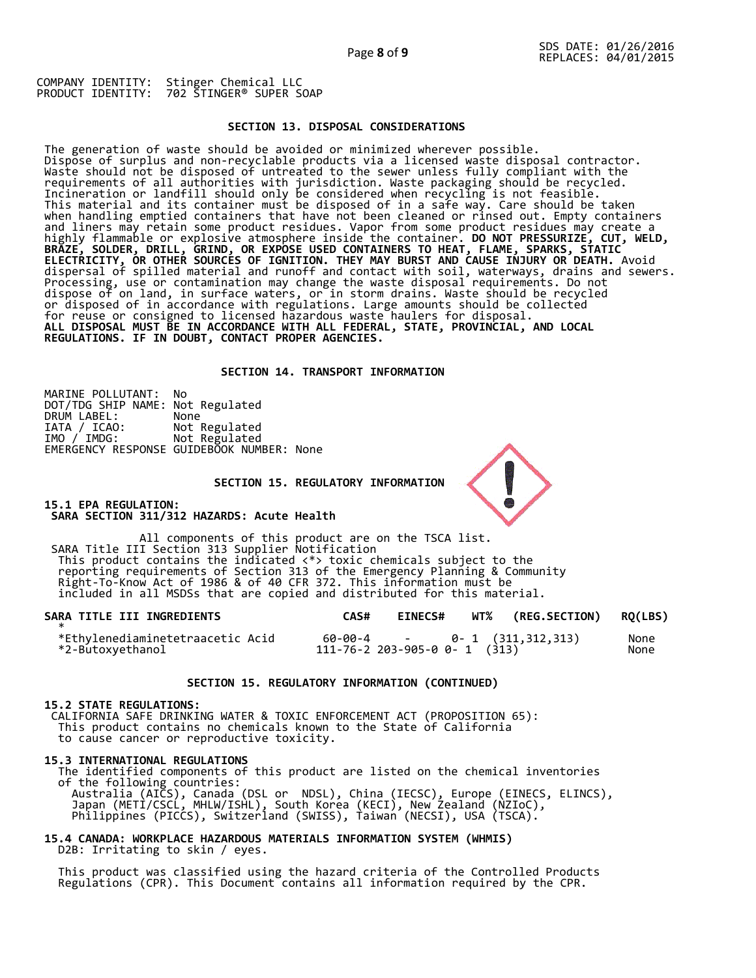# **SECTION 13. DISPOSAL CONSIDERATIONS**

The generation of waste should be avoided or minimized wherever possible. Dispose of surplus and non-recyclable products via a licensed waste disposal contractor. Waste should not be disposed of untreated to the sewer unless fully compliant with the requirements of all authorities with jurisdiction. Waste packaging should be recycled. Incineration or landfill should only be considered when recycling is not feasible. This material and its container must be disposed of in a safe way. Care should be taken when handling emptied containers that have not been cleaned or rinsed out. Empty containers and liners may retain some product residues. Vapor from some product residues may create a highly flammable or explosive atmosphere inside the container. **DO NOT PRESSURIZE, CUT, WELD, BRAZE, SOLDER, DRILL, GRIND, OR EXPOSE USED CONTAINERS TO HEAT, FLAME, SPARKS, STATIC ELECTRICITY, OR OTHER SOURCES OF IGNITION. THEY MAY BURST AND CAUSE INJURY OR DEATH.** Avoid dispersal of spilled material and runoff and contact with soil, waterways, drains and sewers. Processing, use or contamination may change the waste disposal requirements. Do not dispose of on land, in surface waters, or in storm drains. Waste should be recycled or disposed of in accordance with regulations. Large amounts should be collected for reuse or consigned to licensed hazardous waste haulers for disposal. **ALL DISPOSAL MUST BE IN ACCORDANCE WITH ALL FEDERAL, STATE, PROVINCIAL, AND LOCAL REGULATIONS. IF IN DOUBT, CONTACT PROPER AGENCIES.** 

#### **SECTION 14. TRANSPORT INFORMATION**

MARINE POLLUTANT: No DOT/TDG SHIP NAME: Not Regulated DRUM LABEL:<br>IATA / ICAO:<br>IMO / IMDG: Not Regulated Not Regulated EMERGENCY RESPONSE GUIDEBOOK NUMBER: None

 **SECTION 15. REGULATORY INFORMATION** 

**15.1 EPA REGULATION: SARA SECTION 311/312 HAZARDS: Acute Health** 

All components of this product are on the TSCA list. SARA Title III Section 313 Supplier Notification This product contains the indicated <\*> toxic chemicals subject to the reporting requirements of Section 313 of the Emergency Planning & Community Right-To-Know Act of 1986 & of 40 CFR 372. This information must be included in all MSDSs that are copied and distributed for this material.

| SARA TITLE III INGREDIENTS                           | CAS# | <b>EINECS#</b> | WT% (REG.SECTION) RQ(LBS)                                           |              |
|------------------------------------------------------|------|----------------|---------------------------------------------------------------------|--------------|
| *Ethylenediaminetetraacetic Acid<br>*2-Butoxyethanol |      |                | $60-00-4$ - 0- 1 $(311,312,313)$<br>111-76-2 203-905-0 0- 1 $(313)$ | None<br>None |

#### **SECTION 15. REGULATORY INFORMATION (CONTINUED)**

# **15.2 STATE REGULATIONS:**

 CALIFORNIA SAFE DRINKING WATER & TOXIC ENFORCEMENT ACT (PROPOSITION 65): This product contains no chemicals known to the State of California to cause cancer or reproductive toxicity.

#### **15.3 INTERNATIONAL REGULATIONS**

 The identified components of this product are listed on the chemical inventories of the following countries: Australia (AICS), Canada (DSL or NDSL), China (IECSC), Europe (EINECS, ELINCS), Japan (METI/CSCL, MHLW/ISHL), South Korea (KECI), New Zealand (NZIoC), Philippines (PICCS), Switzerland (SWISS), Taiwan (NECSI), USA (TSCA).

# **15.4 CANADA: WORKPLACE HAZARDOUS MATERIALS INFORMATION SYSTEM (WHMIS)**  D2B: Irritating to skin / eyes.

 This product was classified using the hazard criteria of the Controlled Products Regulations (CPR). This Document contains all information required by the CPR.